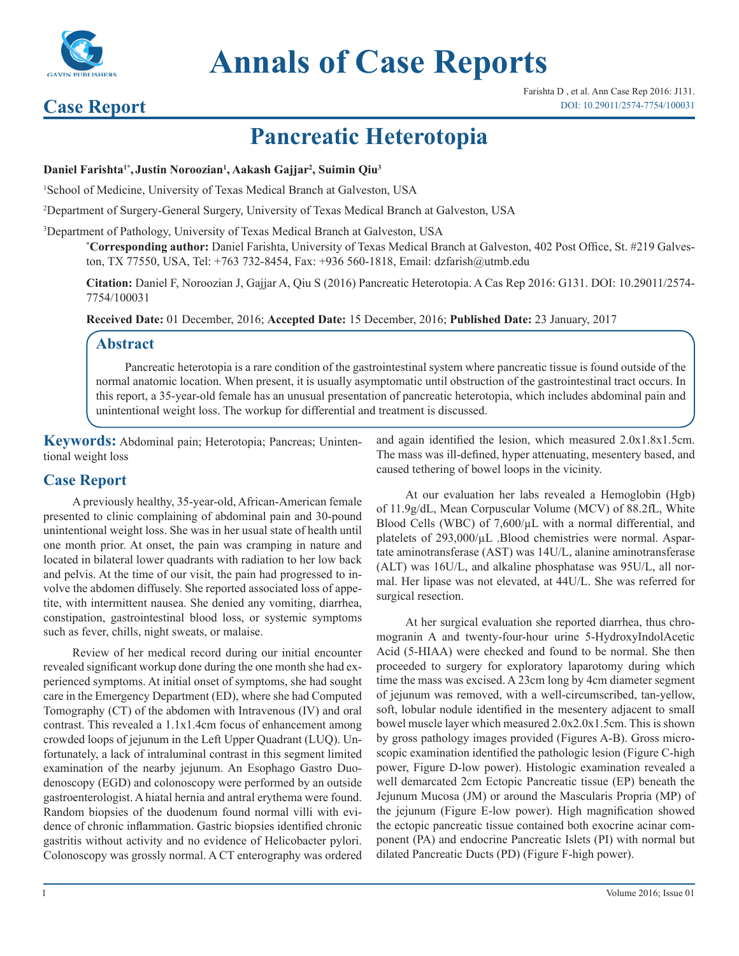

# **Annals of Case Reports**

### **Case Report**

## **Pancreatic Heterotopia**

#### **Daniel Farishta1\*, Justin Noroozian1 , Aakash Gajjar2 , Suimin Qiu3**

1 School of Medicine, University of Texas Medical Branch at Galveston, USA

2 Department of Surgery-General Surgery, University of Texas Medical Branch at Galveston, USA

3 Department of Pathology, University of Texas Medical Branch at Galveston, USA

**\* Corresponding author:** Daniel Farishta, University of Texas Medical Branch at Galveston, 402 Post Office, St. #219 Galveston, TX 77550, USA, Tel: +763 732-8454, Fax: +936 560-1818, Email: dzfarish@utmb.edu

**Citation:** Daniel F, Noroozian J, Gajjar A, Qiu S (2016) Pancreatic Heterotopia. A Cas Rep 2016: G131. DOI: 10.29011/2574- 7754/100031

**Received Date:** 01 December, 2016; **Accepted Date:** 15 December, 2016; **Published Date:** 23 January, 2017

#### **Abstract**

Pancreatic heterotopia is a rare condition of the gastrointestinal system where pancreatic tissue is found outside of the normal anatomic location. When present, it is usually asymptomatic until obstruction of the gastrointestinal tract occurs. In this report, a 35-year-old female has an unusual presentation of pancreatic heterotopia, which includes abdominal pain and unintentional weight loss. The workup for differential and treatment is discussed.

**Keywords:** Abdominal pain; Heterotopia; Pancreas; Unintentional weight loss

#### **Case Report**

A previously healthy, 35-year-old, African-American female presented to clinic complaining of abdominal pain and 30-pound unintentional weight loss. She was in her usual state of health until one month prior. At onset, the pain was cramping in nature and located in bilateral lower quadrants with radiation to her low back and pelvis. At the time of our visit, the pain had progressed to involve the abdomen diffusely. She reported associated loss of appetite, with intermittent nausea. She denied any vomiting, diarrhea, constipation, gastrointestinal blood loss, or systemic symptoms such as fever, chills, night sweats, or malaise.

Review of her medical record during our initial encounter revealed significant workup done during the one month she had experienced symptoms. At initial onset of symptoms, she had sought care in the Emergency Department (ED), where she had Computed Tomography (CT) of the abdomen with Intravenous (IV) and oral contrast. This revealed a 1.1x1.4cm focus of enhancement among crowded loops of jejunum in the Left Upper Quadrant (LUQ). Unfortunately, a lack of intraluminal contrast in this segment limited examination of the nearby jejunum. An Esophago Gastro Duodenoscopy (EGD) and colonoscopy were performed by an outside gastroenterologist. A hiatal hernia and antral erythema were found. Random biopsies of the duodenum found normal villi with evidence of chronic inflammation. Gastric biopsies identified chronic gastritis without activity and no evidence of Helicobacter pylori. Colonoscopy was grossly normal. A CT enterography was ordered

and again identified the lesion, which measured 2.0x1.8x1.5cm. The mass was ill-defined, hyper attenuating, mesentery based, and caused tethering of bowel loops in the vicinity.

At our evaluation her labs revealed a Hemoglobin (Hgb) of 11.9g/dL, Mean Corpuscular Volume (MCV) of 88.2fL, White Blood Cells (WBC) of 7,600/µL with a normal differential, and platelets of 293,000/ $\mu$ L .Blood chemistries were normal. Aspartate aminotransferase (AST) was 14U/L, alanine aminotransferase (ALT) was 16U/L, and alkaline phosphatase was 95U/L, all normal. Her lipase was not elevated, at 44U/L. She was referred for surgical resection.

At her surgical evaluation she reported diarrhea, thus chromogranin A and twenty-four-hour urine 5-HydroxyIndolAcetic Acid (5-HIAA) were checked and found to be normal. She then proceeded to surgery for exploratory laparotomy during which time the mass was excised. A 23cm long by 4cm diameter segment of jejunum was removed, with a well-circumscribed, tan-yellow, soft, lobular nodule identified in the mesentery adjacent to small bowel muscle layer which measured 2.0x2.0x1.5cm. This is shown by gross pathology images provided (Figures A-B). Gross microscopic examination identified the pathologic lesion (Figure C-high power, Figure D-low power). Histologic examination revealed a well demarcated 2cm Ectopic Pancreatic tissue (EP) beneath the Jejunum Mucosa (JM) or around the Mascularis Propria (MP) of the jejunum (Figure E-low power). High magnification showed the ectopic pancreatic tissue contained both exocrine acinar component (PA) and endocrine Pancreatic Islets (PI) with normal but dilated Pancreatic Ducts (PD) (Figure F-high power).